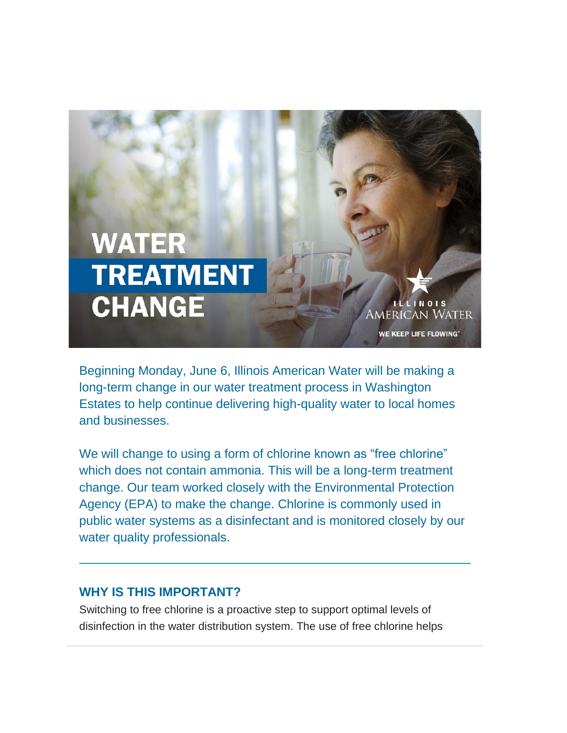

Beginning Monday, June 6, Illinois American Water will be making a long-term change in our water treatment process in Washington Estates to help continue delivering high-quality water to local homes and businesses.

We will change to using a form of chlorine known as "free chlorine" which does not contain ammonia. This will be a long-term treatment change. Our team worked closely with the Environmental Protection Agency (EPA) to make the change. Chlorine is commonly used in public water systems as a disinfectant and is monitored closely by our water quality professionals.

## **WHY IS THIS IMPORTANT?**

Switching to free chlorine is a proactive step to support optimal levels of disinfection in the water distribution system. The use of free chlorine helps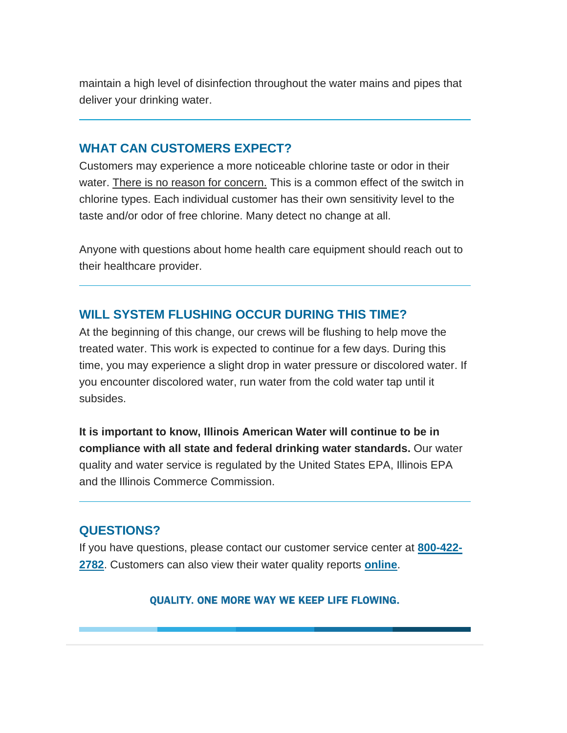maintain a high level of disinfection throughout the water mains and pipes that deliver your drinking water.

## **WHAT CAN CUSTOMERS EXPECT?**

Customers may experience a more noticeable chlorine taste or odor in their water. There is no reason for concern. This is a common effect of the switch in chlorine types. Each individual customer has their own sensitivity level to the taste and/or odor of free chlorine. Many detect no change at all.

Anyone with questions about home health care equipment should reach out to their healthcare provider.

## **WILL SYSTEM FLUSHING OCCUR DURING THIS TIME?**

At the beginning of this change, our crews will be flushing to help move the treated water. This work is expected to continue for a few days. During this time, you may experience a slight drop in water pressure or discolored water. If you encounter discolored water, run water from the cold water tap until it subsides.

**It is important to know, Illinois American Water will continue to be in compliance with all state and federal drinking water standards.** Our water quality and water service is regulated by the United States EPA, Illinois EPA and the Illinois Commerce Commission.

## **QUESTIONS?**

If you have questions, please contact our customer service center at **[800-422-](tel:1-800-422-2782) [2782](tel:1-800-422-2782)**. Customers can also view their water quality reports **[online](https://www.amwater.com/ilaw/Water-Quality/Water-Quality-Reports/)**.

QUALITY. ONE MORE WAY WE KEEP LIFE FLOWING.